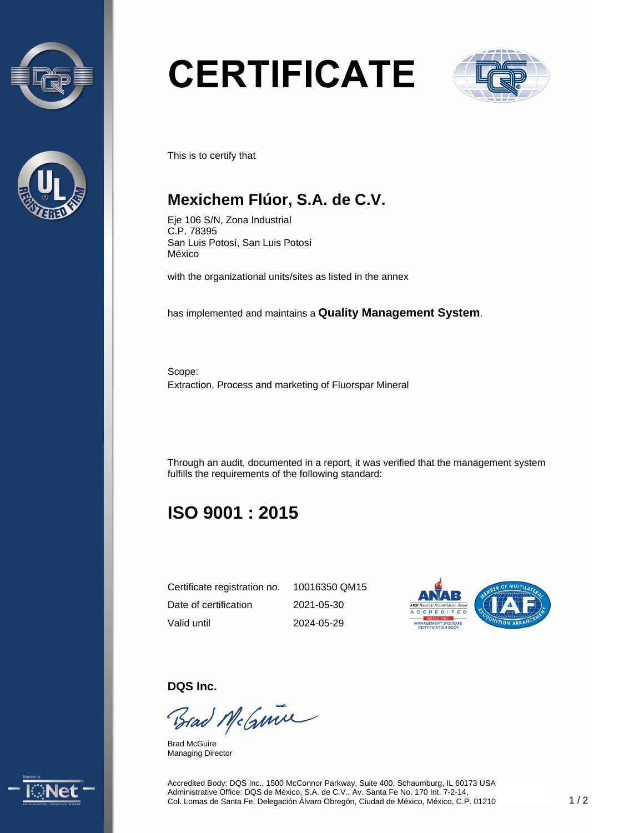



# **CERTIFICATE**



This is to certify that

## **Mexichem Flúor, S.A. de C.V.**

Eje 106 S/N, Zona Industrial C.P. 78395 San Luis Potosí, San Luis Potosí México

with the organizational units/sites as listed in the annex

has implemented and maintains a **Quality Management System**.

Scope: Extraction, Process and marketing of Fluorspar Mineral

Through an audit, documented in a report, it was verified that the management system fulfills the requirements of the following standard:

# **ISO 9001 : 2015**

| Certificate registration no. | 10016350 QM15 |
|------------------------------|---------------|
| Date of certification        | 2021-05-30    |
| Valid until                  | 2024-05-29    |



**DQS Inc.**

Brad McGmin

Brad McGuire Managing Director



Accredited Body: DQS Inc., 1500 McConnor Parkway, Suite 400, Schaumburg, IL 60173 USA Administrative Office: DQS de México, S.A. de C.V., Av. Santa Fe No. 170 Int. 7-2-14, Col. Lomas de Santa Fe, Delegación Álvaro Obregón, Ciudad de México, México, C.P. 01210 1/2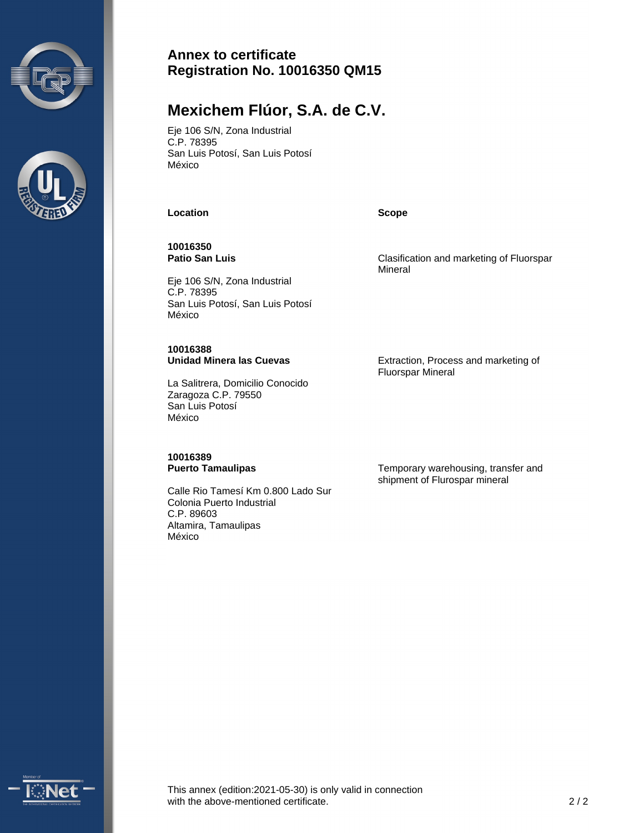



### **Annex to certificate Registration No. 10016350 QM15**

## **Mexichem Flúor, S.A. de C.V.**

Eje 106 S/N, Zona Industrial C.P. 78395 San Luis Potosí, San Luis Potosí México

**Location**

**10016350 Patio San Luis**

Eje 106 S/N, Zona Industrial C.P. 78395 San Luis Potosí, San Luis Potosí México

#### **10016388 Unidad Minera las Cuevas**

La Salitrera, Domicilio Conocido Zaragoza C.P. 79550 San Luis Potosí México

**10016389 Puerto Tamaulipas**

Calle Rio Tamesí Km 0.800 Lado Sur Colonia Puerto Industrial C.P. 89603 Altamira, Tamaulipas México

Clasification and marketing of Fluorspar Mineral

**Scope**

Extraction, Process and marketing of Fluorspar Mineral

Temporary warehousing, transfer and shipment of Flurospar mineral



This annex (edition:2021-05-30) is only valid in connection with the above-mentioned certificate. **2/2**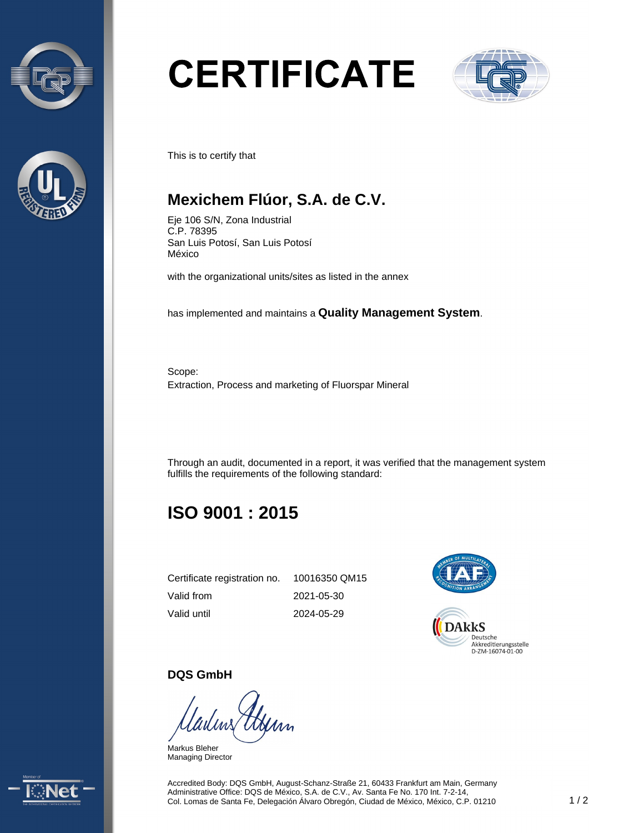



# **CERTIFICATE**



This is to certify that

## **Mexichem Flúor, S.A. de C.V.**

Eje 106 S/N, Zona Industrial C.P. 78395 San Luis Potosí, San Luis Potosí México

with the organizational units/sites as listed in the annex

has implemented and maintains a **Quality Management System**.

Scope: Extraction, Process and marketing of Fluorspar Mineral

Through an audit, documented in a report, it was verified that the management system fulfills the requirements of the following standard:

# **ISO 9001 : 2015**

| Certificate registration no. | 10016350 QM15 |
|------------------------------|---------------|
| Valid from                   | 2021-05-30    |
| Valid until                  | 2024-05-29    |



#### **DQS GmbH**

Markus Bleher Managing Director



Accredited Body: DQS GmbH, August-Schanz-Straße 21, 60433 Frankfurt am Main, Germany Administrative Office: DQS de México, S.A. de C.V., Av. Santa Fe No. 170 Int. 7-2-14, Col. Lomas de Santa Fe, Delegación Álvaro Obregón, Ciudad de México, México, C.P. 01210 1/2